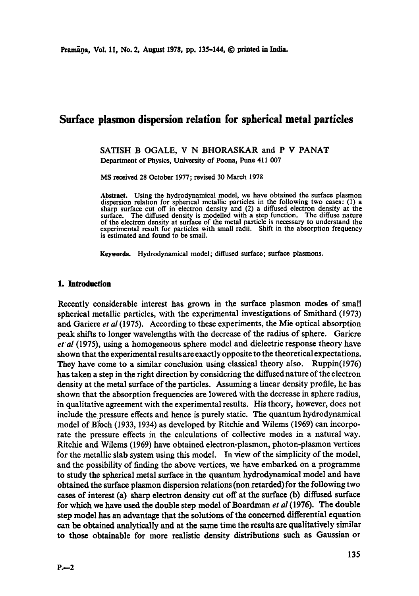# **Surface plasmon dispersion relation for spherical metal particles**

## SATISH B OGALE, V N BHORASKAR and P V PANAT Department of Physics, University of Poona, Pune 411 007

MS received 28 October 1977; revised 30 March 1978

Abstract. Using the hydrodynamieal model, we have obtained the surface plasmon dispersion relation for spherical metallic particles in the following two cases: (1) a sharp surface cut off in electron density and (2) a diffused electron density at the surface. The diffused density is modelled with a step function. The diffuse nature of the electron density at surface of the metal particle is necessary to understand the experimental result for particles with small radii. Shift in the absorption frequency **is estimated** and found to be small.

Keywords. Hydrodynamical model; diffused surface; surface **plasmons.** 

#### **1. Introduction**

Recently considerable interest has grown in the surface plasmon modes of small spherical metallic particles, with the experimental investigations of Smithard (1973) and Gariere *et al* (1975). According to these experiments, the Mie optical absorption peak shifts to longer wavelengths with the decrease of the radius of sphere. Gariere et al (1975), using a homogeneous sphere model and dielectric response theory have shown that the experimental results are exactly opposite to the theoretical expectations. They have come to a similar conclusion using classical theory also. Ruppin(1976) has taken a step in the right direction by considering the diffused nature of the electron density at the metal surface of the particles. Assuming a linear density profile, he has shown that the absorption frequencies are lowered with the decrease in sphere radius, in qualitative agreement with the experimental results. His theory, however, does not include the pressure effects and hence is purely static. The quantum hydrodynamical model of Bl'bch (1933, 1934) as developed by Ritchie and Wilems (1969) can incorporate the pressure effects in the calculations of collective modes in a natural way. Ritchie and Wilems (1969) have obtained electron-plasmon, photon-plasmon vertices for the metallic slab system using this model. In view of the simplicity of the model, and the possibility of finding the above vertices, we have embarked on a programme to study the spherical metal surface in the quantum hydrodynamical model and have obtained the surface plasmon dispersion relations (non retarded) for the following two cases of interest (a) sharp electron density cut off at the surface (b) diffused surface for which we have used the double step model of Boardman *et al* (1976). The double step model has an advantage that the solutions of the concerned differential equation can be obtained analytically and at the same time the results are qualitatively similar to those obtainable for more realistic density distributions such as Gaussian or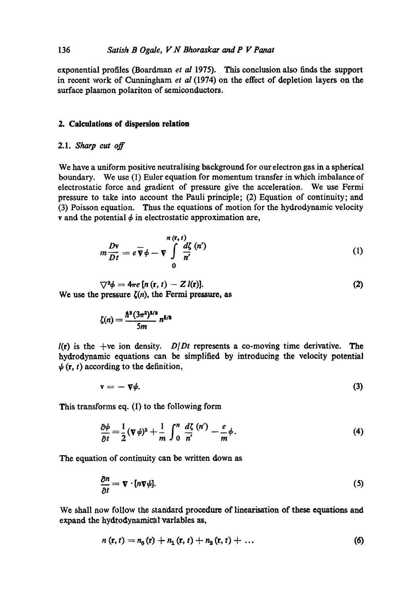## 136 *Satish B Ogale, V N Bhoraskar and P V Panat*

exponential profiles (Boardman *et al* 1975). This conclusion also finds the support in recent work of Cunningham *et al* (1974) on the effect of depletion layers on the surface plasmon polariton of semiconductors.

### **2. Calculations of dispersion relation**

## 2.1. *Sharp cut off*

We have a uniform positive neutralising background for our electron gas in a spherical boundary. We use (1) Euler equation for momentum transfer in which imbalance of electrostatic force and gradient of pressure give the acceleration. We use Fermi pressure to take into account the Pauli principle; (2) Equation of continuity; and (3) Poisson equation. Thus the equations of motion for the hydrodynamic velocity v and the potential  $\phi$  in electrostatic approximation are,

$$
m\frac{D\mathbf{v}}{Dt} = e\overline{\mathbf{v}}\phi - \mathbf{v}\int\limits_{0}^{n\,(\mathbf{r},t)}\frac{d\zeta}{n'}\,(n')\tag{1}
$$

(2)

 $\nabla^2 \phi = 4\pi e \left[ n \left( \mathbf{r}, t \right) - Z \right] \mathbf{r}.$ We use the pressure  $\zeta(n)$ , the Fermi pressure, as

$$
\zeta(n)=\frac{\hbar^2(3\pi^2)^{2/3}}{5m}n^{5/3}
$$

 $l(r)$  is the +ve ion density. *D|Dt* represents a co-moving time derivative. The hydrodynamic equations can be simplified by introducing the velocity potential  $\psi(\mathbf{r}, t)$  according to the definition,

$$
\mathbf{v} = -\nabla \psi. \tag{3}
$$

This transforms eq. (1) to the following form

$$
\frac{\partial \psi}{\partial t} = \frac{1}{2} (\nabla \psi)^2 + \frac{1}{m} \int_0^n \frac{d\zeta}{n'} \frac{(n')}{n'} - \frac{e}{m} \phi. \tag{4}
$$

The equation of continuity can be written down as

$$
\frac{\partial n}{\partial t} = \nabla \cdot [n \nabla \psi]. \tag{5}
$$

We shall now follow the standard procedure of linearisation of these equations and expand the hydrodynamical variables as,

$$
n(r, t) = n_0(r) + n_1(r, t) + n_2(r, t) + \dots \tag{6}
$$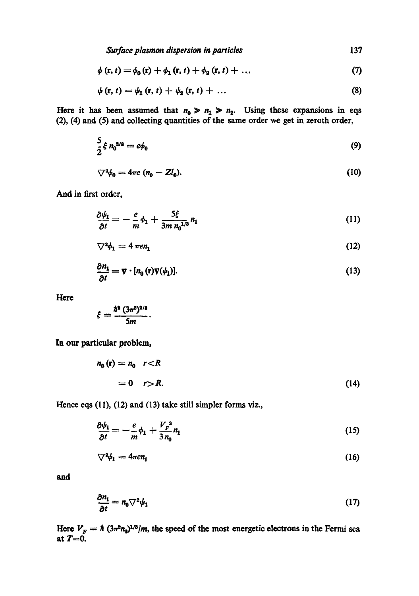*Surface plasmon dispersion in particles* 137

$$
\phi(r, t) = \phi_0(r) + \phi_1(r, t) + \phi_2(r, t) + ... \qquad (7)
$$

$$
\psi(\mathbf{r},t)=\psi_1(\mathbf{r},t)+\psi_2(\mathbf{r},t)+\ldots
$$
\n(8)

Here it has been assumed that  $n_0 > n_1 > n_2$ . Using these expansions in eqs  $(2)$ ,  $(4)$  and  $(5)$  and collecting quantities of the same order we get in zeroth order,

$$
\frac{5}{2}\xi n_0^{2/3} = e\phi_0 \tag{9}
$$

$$
\nabla^2 \phi_0 = 4\pi e \left( n_0 - Z l_0 \right). \tag{10}
$$

And in first order,

$$
\frac{\partial \psi_1}{\partial t} = -\frac{e}{m} \phi_1 + \frac{5\xi}{3m n_0^{1/3}} n_1 \tag{11}
$$

$$
\nabla^2 \phi_1 = 4 \ \pi e n_1 \tag{12}
$$

$$
\frac{\partial n_1}{\partial t} = \nabla \cdot [n_0(\mathbf{r}) \nabla (\psi_1)]. \tag{13}
$$

**Here** 

$$
\xi = \frac{\hbar^{\rm a} (3\pi^{\rm a})^{\rm a/a}}{5m}.
$$

In our particular problem,

$$
n_0(\mathbf{r}) = n_0 \quad r < R
$$
\n
$$
= 0 \quad r > R. \tag{14}
$$

Hence eqs (11), (12) and (13) take still simpler forms viz.,

$$
\frac{\partial \psi_1}{\partial t} = -\frac{e}{m}\phi_1 + \frac{V_F^2}{3n_0}n_1\tag{15}
$$

$$
\nabla^2 \phi_1 = 4\pi e n_1 \tag{16}
$$

**and** 

$$
\frac{\partial n_1}{\partial t} = n_0 \nabla^2 \psi_1 \tag{17}
$$

Here  $V_F = \hbar (3\pi^2 n_0)^{1/3}/m$ , the speed of the most energetic electrons in the Fermi sea at  $T=0$ .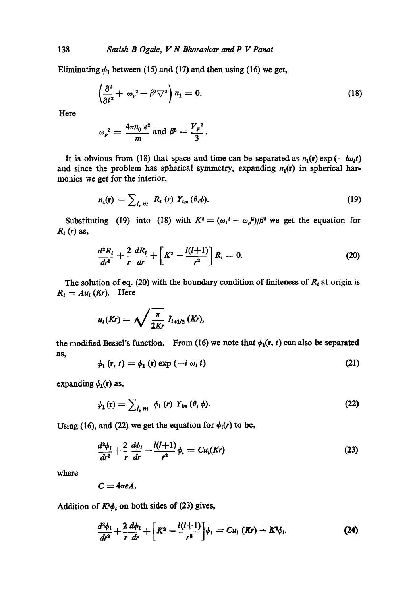Eliminating  $\psi_1$  between (15) and (17) and then using (16) we get,

$$
\left(\frac{\partial^2}{\partial t^2} + \omega_p{}^2 - \beta^2 \nabla^2\right) n_1 = 0. \tag{18}
$$

Here

$$
\omega_p^2 = \frac{4\pi n_0 e^2}{m}
$$
 and  $\beta^2 = \frac{V_F^2}{3}$ .

It is obvious from (18) that space and time can be separated as  $n_1(r) \exp(-i\omega_1 t)$ and since the problem has spherical symmetry, expanding  $n_1(r)$  in spherical harmonics we get for the interior,

$$
n_1(\mathbf{r}) = \sum_{l,m} R_l(r) Y_{lm}(\theta,\phi). \tag{19}
$$

Substituting (19) into (18) with  $K^2 = (\omega_1^2 - \omega_p^2)/\beta^2$  we get the equation for  $R_l(r)$  as,

$$
\frac{d^2R_l}{dr^2} + \frac{2}{r}\frac{dR_l}{dr} + \left[K^2 - \frac{l(l+1)}{r^2}\right]R_l = 0.
$$
 (20)

The solution of eq. (20) with the boundary condition of finiteness of  $R_t$  at origin is  $R_i = Au_i$  (*Kr*). Here

$$
u_{l}(Kr)=\sqrt{\frac{\pi}{2Kr}}\;I_{l+1/2}\left(Kr\right),
$$

the modified Bessel's function. From (16) we note that  $\phi_1(r, t)$  can also be separated as,

$$
\phi_1(\mathbf{r}, t) = \phi_1(\mathbf{r}) \exp\left(-i \omega_i t\right) \tag{21}
$$

expanding  $\phi_1(r)$  as,

$$
\phi_{1}(\mathbf{r}) = \sum_{l, m} \phi_{l} (r) Y_{lm} (\theta, \phi). \tag{22}
$$

Using (16), and (22) we get the equation for  $\phi_i(r)$  to be,

$$
\frac{d^2\phi_l}{dr^2} + \frac{2}{r}\frac{d\phi_l}{dr} - \frac{l(l+1)}{r^2}\phi_l = Cu_l(Kr)
$$
 (23)

where

$$
C=4\pi eA.
$$

Addition of  $K^2\phi_t$  on both sides of (23) gives,

$$
\frac{d^2\phi_i}{dr^2} + \frac{2}{r}\frac{d\phi_i}{dr} + \left[K^2 - \frac{l(l+1)}{r^2}\right]\phi_i = Cu_i\ (Kr) + K^2\phi_i. \tag{24}
$$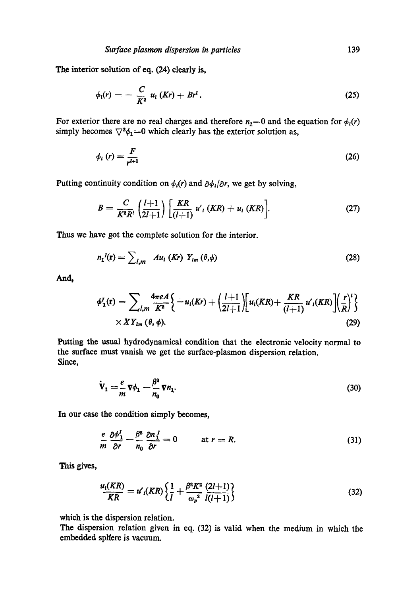The interior solution of eq. (24) clearly is,

$$
\phi_i(r) = -\frac{C}{K^2} u_i (Kr) + Br^1. \tag{25}
$$

For exterior there are no real charges and therefore  $n_1=0$  and the equation for  $\phi_1(r)$ simply becomes  $\nabla^2 \phi_1 = 0$  which clearly has the exterior solution as,

$$
\phi_t(r) = \frac{F}{r^{t+1}}\tag{26}
$$

Putting continuity condition on  $\phi_i(r)$  and  $\partial \phi_i/\partial r$ , we get by solving,

$$
B = \frac{C}{K^2 R^l} \left( \frac{l+1}{2l+1} \right) \left[ \frac{KR}{(l+1)} u'_l (KR) + u_l (KR) \right]. \tag{27}
$$

Thus we have got the complete solution for the interior.

$$
n_1^I(\mathbf{r}) = \sum_{l,m} A u_l (Kr) Y_{lm} (\theta, \phi)
$$
 (28)

And,

$$
\phi_1^I(\mathbf{r}) = \sum_{l,m} \frac{4\pi e A}{K^2} \Big\{ -u_l(Kr) + \left(\frac{l+1}{2l+1}\right) \Big[ u_l(KR) + \frac{KR}{(l+1)} u'_l(KR) \Big] \Big(\frac{r}{R}\Big)^l \Big\} \times XY_{lm}(\theta, \phi).
$$
\n(29)

Putting the usual hydrodynamical condition that the electronic velocity normal to the surface must vanish we get the surfaee-plasmon dispersion relation. Since,

$$
\dot{\mathbf{V}}_1 = \frac{e}{m} \nabla \phi_1 - \frac{\beta^2}{n_0} \nabla n_1. \tag{30}
$$

In our case the condition simply becomes,

$$
\frac{e}{m}\frac{\partial \phi_1^l}{\partial r} - \frac{\beta^2}{n_0}\frac{\partial n_1^l}{\partial r} = 0 \quad \text{at } r = R. \tag{31}
$$

This gives,

$$
\frac{u_i(KR)}{KR} = u'_i(KR) \left\{ \frac{1}{l} + \frac{\beta^2 K^2}{\omega_p^2} \frac{(2l+1)}{l(l+1)} \right\} \tag{32}
$$

which is the dispersion relation.

The dispersion relation given in eq. (32) is valid when the medium in which the embedded spNere is vacuum.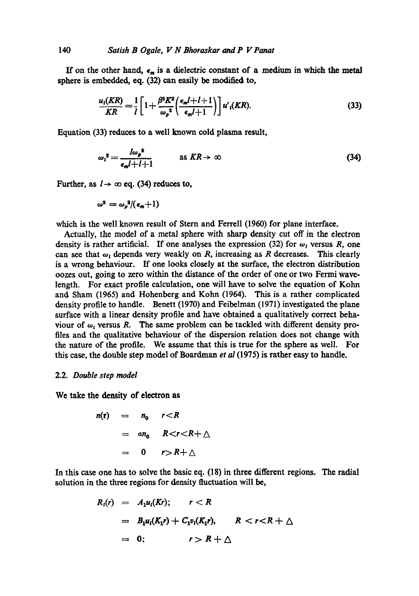If on the other hand,  $\epsilon_m$  is a dielectric constant of a medium in which the metal sphere is embedded, eq. (32) can easily be modified to,

$$
\frac{u_i(KR)}{KR} = \frac{1}{l} \left[ 1 + \frac{\beta^2 K^2}{\omega_p^2} \left( \frac{\epsilon_m l + l + 1}{\epsilon_m l + 1} \right) \right] u'_i(KR).
$$
 (33)

Equation (33) reduces to a well known cold plasma result,

$$
\omega_l^2 = \frac{l\omega_p^2}{\epsilon_m l + l + 1} \qquad \text{as } KR \to \infty \tag{34}
$$

Further, as  $l \rightarrow \infty$  eq. (34) reduces to,

$$
\omega^2=\omega_p^2/(\epsilon_m+1)
$$

which is the well known result of Stem and Ferrell (1960) for plane interface.

Actually, the model of a metal sphere with sharp density cut off in the electron density is rather artificial. If one analyses the expression (32) for  $\omega_i$  versus R, one can see that  $\omega_i$ , depends very weakly on R, increasing as R decreases. This clearly is a wrong behaviour. If one looks closely at the surface, the electron distribution oozes out, going to zero within the distance of the order of one or two Fermi wavelength. For exact profile calculation, one will have to solve the equation of Kohn and Sham (1965) and Hohenberg and Kohn (1964). This is a rather complicated density profile to handle. Benett (1970) and Feibelman (1971) investigated the plane surface with a linear density profile and have obtained a qualitatively correct behaviour of  $\omega_1$  versus R. The same problem can be tackled with different density profiles and the qualitative behaviour of the dispersion relation does not change with the nature of the profile. We assume that this is true for the sphere as well. For this case, the double step model of Boardman *et al* (1975) is rather easy to handle.

#### 2.2. *Double step model*

**We take the density of electron as** 

$$
n(r) = n_0 \quad r < R
$$
  
=  $\alpha n_0 \quad R < r < R + \triangle$   
= 0 \quad r > R + \triangle

In this case one has to solve the basic eq. (18) in three different regions. The radial solution in the three regions for density fluctuation will be,

$$
R_i(r) = A_1 u_i(Kr); \qquad r < R
$$
  
=  $B_1 u_i(K_1r) + C_1 v_i(K_1r), \qquad R < r < R + \triangle$   
= 0; \qquad r > R + \triangle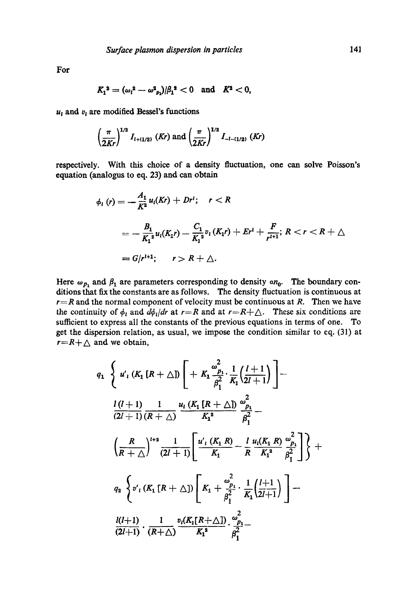**For** 

$$
K_1^2 = (\omega_l^2 - \omega_{p_1}^2)/\beta_1^2 < 0 \text{ and } K^2 < 0,
$$

 $u_{\ell}$  and  $v_{\ell}$  are modified Bessel's functions

$$
\left(\frac{\pi}{2Kr}\right)^{1/2} I_{l+(1/2)}\ (Kr)\ and\ \left(\frac{\pi}{2Kr}\right)^{1/2} I_{-l-(1/2)}\ (Kr)
$$

respectively. With this choice of a density fluctuation, one can solve Poisson's equation (analogus to eq. 23) and can obtain

$$
\phi_{l}(r) = -\frac{A_{1}}{K^{2}}u_{l}(Kr) + Dr^{l}; \quad r < R
$$
\n
$$
= -\frac{B_{1}}{K_{1}^{2}}u_{l}(K_{1}r) - \frac{C_{1}}{K_{1}^{2}}v_{l}(K_{1}r) + Er^{l} + \frac{F}{r^{l+1}}; \quad R < r < R + \triangle
$$
\n
$$
= G/r^{l+1}; \quad r > R + \triangle.
$$

Here  $\omega_{p_1}$  and  $\beta_1$  are parameters corresponding to density  $a n_0$ . The boundary conditions that fix the constants are as follows. The density fluctuation is continuous at  $r=R$  and the normal component of velocity must be continuous at R. Then we have the continuity of  $\phi_t$  and  $d\phi_t/dr$  at  $r=R$  and at  $r=R+\Delta$ . These six conditions are sufficient to express all the constants of the previous equations in terms of one. To get the dispersion relation, as usual, we impose the condition similar to eq. (31) at  $r=R+\Delta$  and we obtain,

$$
q_{1} \left\{\n \begin{array}{l}\n u'_{1} \left(K_{1} \left[R+\triangle\right]\right) \left[\n + K_{1} \frac{\omega_{p_{1}}^{2}}{\beta_{1}^{2}} \cdot \frac{1}{K_{1}} \left(\frac{l+1}{2l+1}\right)\n \right]\n \end{array}\n \right.
$$
\n
$$
\frac{l(l+1)}{(2l+1)} \frac{1}{(R+\triangle)} \frac{u_{1} \left(K_{1} \left[R+\triangle\right]\right)}{K_{1}^{2}} \frac{\omega_{p_{1}}^{2}}{\beta_{1}^{2}} - \left(\frac{R}{R+\triangle}\right)^{l+2} \frac{1}{(2l+1)} \left[\frac{u'_{1} \left(K_{1} R\right)}{K_{1}} - \frac{l}{R} \frac{u_{1} \left(K_{1} R\right)}{K_{1}^{2}} \frac{\omega_{p_{1}}^{2}}{\beta_{1}^{2}}\n \right]\n \right\} + \frac{q_{2} \left\{\n v'_{1} \left(K_{1} \left[R+\triangle\right]\right) \left[K_{1} + \frac{\omega_{p_{1}}^{2}}{\beta_{1}^{2}} \cdot \frac{1}{K_{1}} \left(\frac{l+1}{2l+1}\right)\n \right] - \frac{l(l+1)}{(2l+1)} \cdot \frac{1}{(R+\triangle)} \frac{v_{1} \left(K_{1} \left[R+\triangle\right]\right)}{K_{1}^{2}} \cdot \frac{\omega_{p_{1}}^{2}}{\beta_{1}^{2}} - \frac{l(l+1)}{(2l+1)} \cdot \frac{1}{(R+\triangle)} \frac{v_{1} \left(K_{1} \left[R+\triangle\right]\right)}{\beta_{1}^{2}} \cdot \frac{\omega_{p_{1}}^{2}}{\beta_{1}^{2}} - \frac{l(l+1)}{(2l+1)} \cdot \frac{1}{(R+\triangle)} \frac{1}{(R+\triangle)} \frac{v_{1} \left(K_{1} \left[R+\triangle\right]\right)}{\beta_{1}^{2}} \cdot \frac{\omega_{p_{1}}^{2}}{\beta_{1}^{2}} - \frac{l(l+1)}{(2l+1)} \cdot \frac{1}{(R+\triangle)} \frac{1}{(R+\triangle)} \frac{1}{(R+\triangle)} \frac{1}{(R+\triangle)} \frac{1}{(R+\triangle)} \frac{1}{(R+\triangle)} \frac{1}{(R+\triangle)} \frac{1}{(R+\triangle)} \frac{1}{(R+\triangle)} \frac{1}{(R+\triangle
$$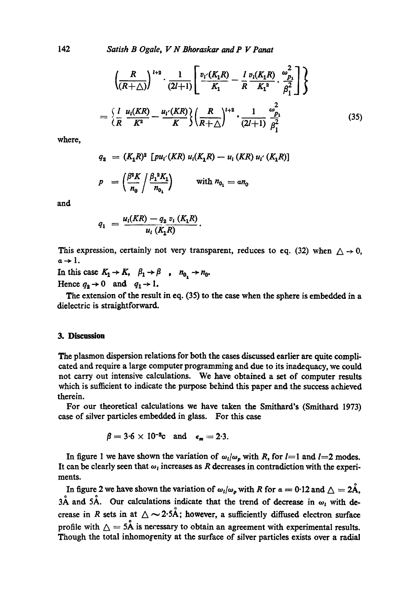142 *Satish B Ogale, V N Bhoraskar and P Y Panat* 

$$
\left(\frac{R}{(R+\triangle)}\right)^{l+2} \cdot \frac{1}{(2l+1)} \left[\frac{v_{l'}(K_1R)}{K_1} - \frac{l}{R} \frac{v_{l}(K_1R)}{K_1^2} \cdot \frac{\omega_{p_1}^2}{\beta_1^2}\right] \right\}
$$
\n
$$
= \left\{\frac{l}{R} \frac{u_{l}(KR)}{K^2} - \frac{u_{l'}(KR)}{K}\right\} \left(\frac{R}{R+\triangle}\right)^{l+2} \cdot \frac{1}{(2l+1)} \frac{\omega_{p_1}^2}{\beta_1^2}
$$
\n(35)

where,

$$
q_2 = (K_1 R)^2 [pu_{i'}(KR) u_{i}(K_1 R) - u_{i} (KR) u_{i'} (K_1 R)]
$$
  

$$
p = \left(\frac{\beta^2 K}{n_0} / \frac{\beta_1^2 K_1}{n_{0_1}}\right) \qquad \text{with } n_{0_1} = a n_0
$$

and

$$
q_1 = \frac{u_1(KR) - q_2 v_1(K_1R)}{u_1(K_1R)}.
$$

This expression, certainly not very transparent, reduces to eq. (32) when  $\triangle \rightarrow 0$ ,  $a \rightarrow 1.$ 

In this case  $K_1 \rightarrow K$ ,  $\beta_1 \rightarrow \beta$ ,  $n_0 \rightarrow n_0$ . Hence  $q_2 \rightarrow 0$  and  $q_1 \rightarrow 1$ .

The extension of the result in eq. (35) to the case when the sphere is embedded in a dielectric is straightforward.

#### 3. Discussion

The plasmon dispersion relations for both the cases discussed earlier are quite complicated and require a large computer programming and due to its inadequacy, we could not carry out intensive calculations. We have obtained a set of computer results which is sufficient to indicate the purpose behind this paper and the success achieved therein.

For our theoretical calculations we have taken the Smithard's (Smithard 1973) case of silver particles embedded in glass. For this case

$$
\beta = 3.6 \times 10^{-3} \text{c} \quad \text{and} \quad \epsilon_m = 2.3.
$$

In figure 1 we have shown the variation of  $\omega_l/\omega_p$  with R, for  $l=1$  and  $l=2$  modes. It can be clearly seen that  $\omega_i$  increases as R decreases in contradiction with the experiments.

In figure 2 we have shown the variation of  $\omega_i/\omega_p$  with R for  $\alpha = 0.12$  and  $\Delta = 2\AA$ ,  $3\text{\AA}$  and  $5\text{\AA}$ . Our calculations indicate that the trend of decrease in  $\omega_i$  with decrease in R sets in at  $\triangle \sim 2.5\text{\AA}$ ; however, a sufficiently diffused electron surface profile with  $\Delta = 5$ Å is necessary to obtain an agreement with experimental results. Though the total inhomogenity at the surface of silver particles exists over a radial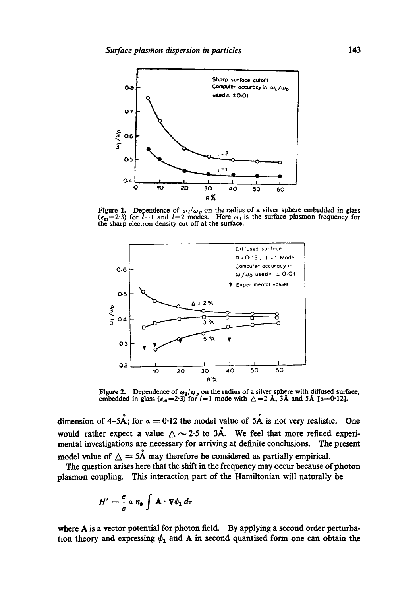

**Figure 1.** Dependence of  $\omega_l/\omega_p$  on the radius of a silver sphere embedded in glass  $(\epsilon_m = 2.3)$  for  $l=1$  and  $l=2$  modes. Here  $\omega_l$  is the surface plasmon frequency for the sharp electron density cut off at the surface.



**Figure 2.** Dependence of  $\omega_1/\omega_p$  on the radius of a silver sphere with diffused surface, embedded in glass ( $\epsilon_m$ =2.3) for  $l=1$  mode with  $\triangle$  = 2 Å, 3Å and 5Å [ $\alpha$ =0.12].

**dimension of 4-5Å; for**  $\alpha = 0.12$  **the model value of 5Å is not very realistic.** One would rather expect a value  $\triangle \sim 2.5$  to  $3\AA$ . We feel that more refined experi**mental investigations are necessary for arriving at definite conclusions. The present**  model value of  $\Delta = 5$ Å may therefore be considered as partially empirical.

**The question arises here that the shift in the frequency may occur because of photon plasmon coupling. This interaction part of the Harniltonian will naturally be** 

$$
H' = \frac{e}{c} \alpha n_0 \int \mathbf{A} \cdot \nabla \psi_1 d\tau
$$

**where A is a vector potential for photon field. By applying a second order perturba**tion theory and expressing  $\psi_1$  and A in second quantised form one can obtain the